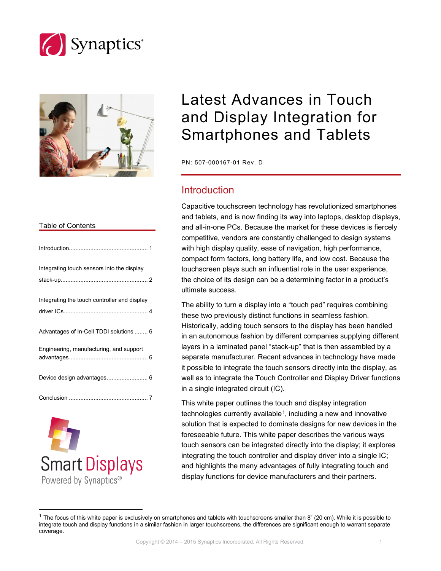



| Table of Contents                            |  |
|----------------------------------------------|--|
|                                              |  |
| Integrating touch sensors into the display   |  |
| Integrating the touch controller and display |  |
| Advantages of In-Cell TDDI solutions  6      |  |
| Engineering, manufacturing, and support      |  |
|                                              |  |
|                                              |  |
|                                              |  |



 $\ddot{ }$ 

# Latest Advances in Touch and Display Integration for Smartphones and Tablets

PN: 507-000167-01 Rev. D

## **Introduction**

Capacitive touchscreen technology has revolutionized smartphones and tablets, and is now finding its way into laptops, desktop displays, and all-in-one PCs. Because the market for these devices is fiercely competitive, vendors are constantly challenged to design systems with high display quality, ease of navigation, high performance, compact form factors, long battery life, and low cost. Because the touchscreen plays such an influential role in the user experience, the choice of its design can be a determining factor in a product's ultimate success.

The ability to turn a display into a "touch pad" requires combining these two previously distinct functions in seamless fashion. Historically, adding touch sensors to the display has been handled in an autonomous fashion by different companies supplying different layers in a laminated panel "stack-up" that is then assembled by a separate manufacturer. Recent advances in technology have made it possible to integrate the touch sensors directly into the display, as well as to integrate the Touch Controller and Display Driver functions in a single integrated circuit (IC).

This white paper outlines the touch and display integration technologies currently available<sup>1</sup>, including a new and innovative solution that is expected to dominate designs for new devices in the foreseeable future. This white paper describes the various ways touch sensors can be integrated directly into the display; it explores integrating the touch controller and display driver into a single IC; and highlights the many advantages of fully integrating touch and display functions for device manufacturers and their partners.

<span id="page-0-0"></span> $1$  The focus of this white paper is exclusively on smartphones and tablets with touchscreens smaller than 8" (20 cm). While it is possible to integrate touch and display functions in a similar fashion in larger touchscreens, the differences are significant enough to warrant separate coverage.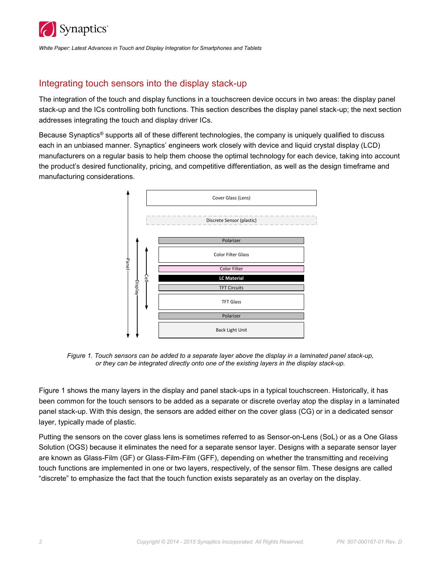

## Integrating touch sensors into the display stack-up

The integration of the touch and display functions in a touchscreen device occurs in two areas: the display panel stack-up and the ICs controlling both functions. This section describes the display panel stack-up; the next section addresses integrating the touch and display driver ICs.

Because Synaptics® supports all of these different technologies, the company is uniquely qualified to discuss each in an unbiased manner. Synaptics' engineers work closely with device and liquid crystal display (LCD) manufacturers on a regular basis to help them choose the optimal technology for each device, taking into account the product's desired functionality, pricing, and competitive differentiation, as well as the design timeframe and manufacturing considerations.



<span id="page-1-0"></span>*Figure 1. Touch sensors can be added to a separate layer above the display in a laminated panel stack-up, or they can be integrated directly onto one of the existing layers in the display stack-up.*

[Figure 1](#page-1-0) shows the many layers in the display and panel stack-ups in a typical touchscreen. Historically, it has been common for the touch sensors to be added as a separate or discrete overlay atop the display in a laminated panel stack-up. With this design, the sensors are added either on the cover glass (CG) or in a dedicated sensor layer, typically made of plastic.

Putting the sensors on the cover glass lens is sometimes referred to as Sensor-on-Lens (SoL) or as a One Glass Solution (OGS) because it eliminates the need for a separate sensor layer. Designs with a separate sensor layer are known as Glass-Film (GF) or Glass-Film-Film (GFF), depending on whether the transmitting and receiving touch functions are implemented in one or two layers, respectively, of the sensor film. These designs are called "discrete" to emphasize the fact that the touch function exists separately as an overlay on the display.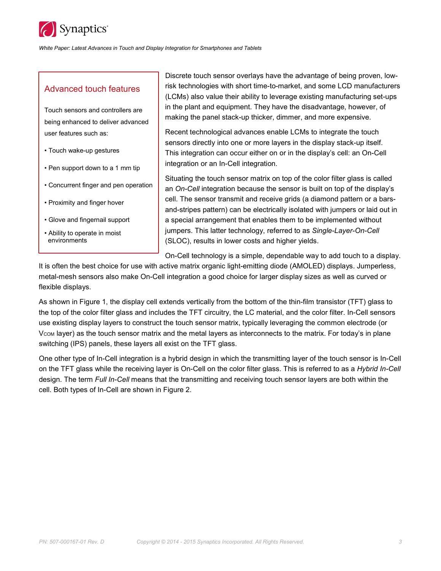

## Advanced touch features

Touch sensors and controllers are being enhanced to deliver advanced user features such as:

- Touch wake-up gestures
- Pen support down to a 1 mm tip
- Concurrent finger and pen operation
- Proximity and finger hover
- Glove and fingernail support
- Ability to operate in moist environments

Discrete touch sensor overlays have the advantage of being proven, lowrisk technologies with short time-to-market, and some LCD manufacturers (LCMs) also value their ability to leverage existing manufacturing set-ups in the plant and equipment. They have the disadvantage, however, of making the panel stack-up thicker, dimmer, and more expensive.

Recent technological advances enable LCMs to integrate the touch sensors directly into one or more layers in the display stack-up itself. This integration can occur either on or in the display's cell: an On-Cell integration or an In-Cell integration.

Situating the touch sensor matrix on top of the color filter glass is called an *On-Cell* integration because the sensor is built on top of the display's cell. The sensor transmit and receive grids (a diamond pattern or a barsand-stripes pattern) can be electrically isolated with jumpers or laid out in a special arrangement that enables them to be implemented without jumpers. This latter technology, referred to as *Single-Layer-On-Cell* (SLOC), results in lower costs and higher yields.

On-Cell technology is a simple, dependable way to add touch to a display.

It is often the best choice for use with active matrix organic light-emitting diode (AMOLED) displays. Jumperless, metal-mesh sensors also make On-Cell integration a good choice for larger display sizes as well as curved or flexible displays.

As shown in Figure 1, the display cell extends vertically from the bottom of the thin-film transistor (TFT) glass to the top of the color filter glass and includes the TFT circuitry, the LC material, and the color filter. In-Cell sensors use existing display layers to construct the touch sensor matrix, typically leveraging the common electrode (or V<sub>COM</sub> layer) as the touch sensor matrix and the metal layers as interconnects to the matrix. For today's in plane switching (IPS) panels, these layers all exist on the TFT glass.

One other type of In-Cell integration is a hybrid design in which the transmitting layer of the touch sensor is In-Cell on the TFT glass while the receiving layer is On-Cell on the color filter glass. This is referred to as a *Hybrid In-Cell* design. The term *Full In-Cell* means that the transmitting and receiving touch sensor layers are both within the cell. Both types of In-Cell are shown in [Figure 2.](#page-3-0)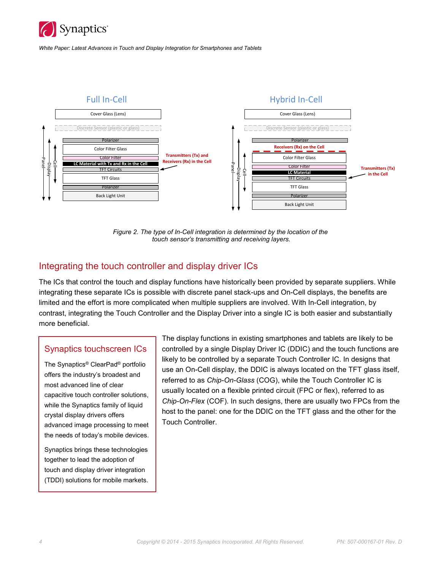



*Figure 2. The type of In-Cell integration is determined by the location of the touch sensor's transmitting and receiving layers.*

## <span id="page-3-0"></span>Integrating the touch controller and display driver ICs

The ICs that control the touch and display functions have historically been provided by separate suppliers. While integrating these separate ICs is possible with discrete panel stack-ups and On-Cell displays, the benefits are limited and the effort is more complicated when multiple suppliers are involved. With In-Cell integration, by contrast, integrating the Touch Controller and the Display Driver into a single IC is both easier and substantially more beneficial.

## Synaptics touchscreen ICs

The Synaptics® ClearPad® portfolio offers the industry's broadest and most advanced line of clear capacitive touch controller solutions, while the Synaptics family of liquid crystal display drivers offers advanced image processing to meet the needs of today's mobile devices.

Synaptics brings these technologies together to lead the adoption of touch and display driver integration (TDDI) solutions for mobile markets.

The display functions in existing smartphones and tablets are likely to be controlled by a single Display Driver IC (DDIC) and the touch functions are likely to be controlled by a separate Touch Controller IC. In designs that use an On-Cell display, the DDIC is always located on the TFT glass itself, referred to as *Chip-On-Glass* (COG), while the Touch Controller IC is usually located on a flexible printed circuit (FPC or flex), referred to as *Chip-On-Flex* (COF). In such designs, there are usually two FPCs from the host to the panel: one for the DDIC on the TFT glass and the other for the Touch Controller.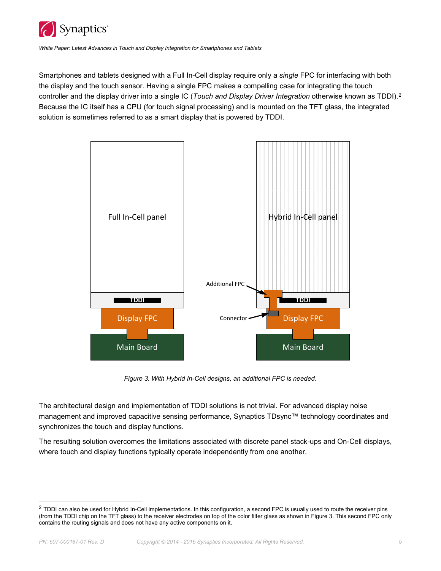

 $\ddot{ }$ 

*White Paper: Latest Advances in Touch and Display Integration for Smartphones and Tablets*

Smartphones and tablets designed with a Full In-Cell display require only a *single* FPC for interfacing with both the display and the touch sensor. Having a single FPC makes a compelling case for integrating the touch controller and the display driver into a single IC (*Touch and Display Driver Integration* otherwise known as TDDI).[2](#page-4-0) Because the IC itself has a CPU (for touch signal processing) and is mounted on the TFT glass, the integrated solution is sometimes referred to as a smart display that is powered by TDDI.



*Figure 3. With Hybrid In-Cell designs, an additional FPC is needed.* 

The architectural design and implementation of TDDI solutions is not trivial. For advanced display noise management and improved capacitive sensing performance, Synaptics TDsync™ technology coordinates and synchronizes the touch and display functions.

The resulting solution overcomes the limitations associated with discrete panel stack-ups and On-Cell displays, where touch and display functions typically operate independently from one another.

<span id="page-4-0"></span><sup>&</sup>lt;sup>2</sup> TDDI can also be used for Hybrid In-Cell implementations. In this configuration, a second FPC is usually used to route the receiver pins (from the TDDI chip on the TFT glass) to the receiver electrodes on top of the color filter glass as shown in Figure 3. This second FPC only contains the routing signals and does not have any active components on it.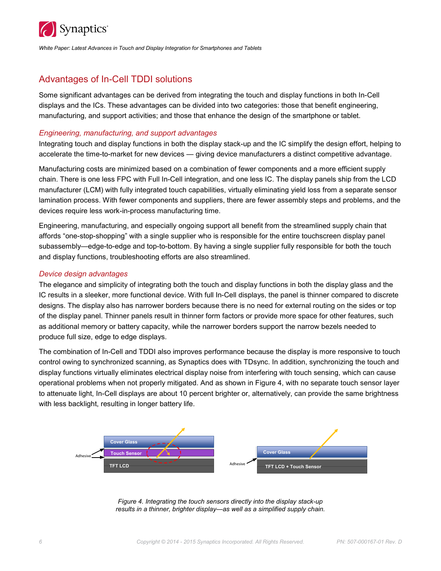

## Advantages of In-Cell TDDI solutions

Some significant advantages can be derived from integrating the touch and display functions in both In-Cell displays and the ICs. These advantages can be divided into two categories: those that benefit engineering, manufacturing, and support activities; and those that enhance the design of the smartphone or tablet.

#### *Engineering, manufacturing, and support advantages*

Integrating touch and display functions in both the display stack-up and the IC simplify the design effort, helping to accelerate the time-to-market for new devices — giving device manufacturers a distinct competitive advantage.

Manufacturing costs are minimized based on a combination of fewer components and a more efficient supply chain. There is one less FPC with Full In-Cell integration, and one less IC. The display panels ship from the LCD manufacturer (LCM) with fully integrated touch capabilities, virtually eliminating yield loss from a separate sensor lamination process. With fewer components and suppliers, there are fewer assembly steps and problems, and the devices require less work-in-process manufacturing time.

Engineering, manufacturing, and especially ongoing support all benefit from the streamlined supply chain that affords "one-stop-shopping" with a single supplier who is responsible for the entire touchscreen display panel subassembly—edge-to-edge and top-to-bottom. By having a single supplier fully responsible for both the touch and display functions, troubleshooting efforts are also streamlined.

#### *Device design advantages*

The elegance and simplicity of integrating both the touch and display functions in both the display glass and the IC results in a sleeker, more functional device. With full In-Cell displays, the panel is thinner compared to discrete designs. The display also has narrower borders because there is no need for external routing on the sides or top of the display panel. Thinner panels result in thinner form factors or provide more space for other features, such as additional memory or battery capacity, while the narrower borders support the narrow bezels needed to produce full size, edge to edge displays.

The combination of In-Cell and TDDI also improves performance because the display is more responsive to touch control owing to synchronized scanning, as Synaptics does with TDsync. In addition, synchronizing the touch and display functions virtually eliminates electrical display noise from interfering with touch sensing, which can cause operational problems when not properly mitigated. And as shown in [Figure 4,](#page-5-0) with no separate touch sensor layer to attenuate light, In-Cell displays are about 10 percent brighter or, alternatively, can provide the same brightness with less backlight, resulting in longer battery life.

<span id="page-5-0"></span>

*Figure 4. Integrating the touch sensors directly into the display stack-up results in a thinner, brighter display—as well as a simplified supply chain.*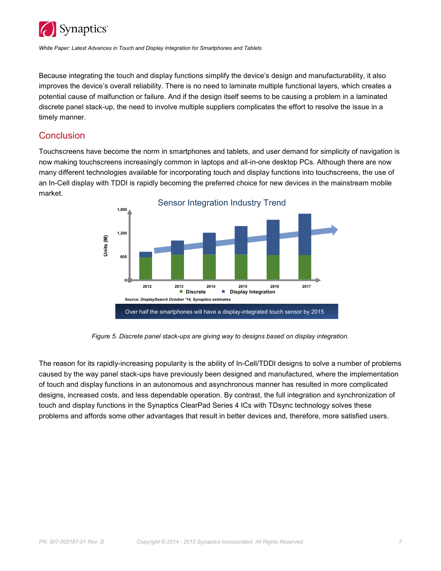

Because integrating the touch and display functions simplify the device's design and manufacturability, it also improves the device's overall reliability. There is no need to laminate multiple functional layers, which creates a potential cause of malfunction or failure. And if the design itself seems to be causing a problem in a laminated discrete panel stack-up, the need to involve multiple suppliers complicates the effort to resolve the issue in a timely manner.

## **Conclusion**

Touchscreens have become the norm in smartphones and tablets, and user demand for simplicity of navigation is now making touchscreens increasingly common in laptops and all-in-one desktop PCs. Although there are now many different technologies available for incorporating touch and display functions into touchscreens, the use of an In-Cell display with TDDI is rapidly becoming the preferred choice for new devices in the mainstream mobile market.



*Figure 5. Discrete panel stack-ups are giving way to designs based on display integration.*

The reason for its rapidly-increasing popularity is the ability of In-Cell/TDDI designs to solve a number of problems caused by the way panel stack-ups have previously been designed and manufactured, where the implementation of touch and display functions in an autonomous and asynchronous manner has resulted in more complicated designs, increased costs, and less dependable operation. By contrast, the full integration and synchronization of touch and display functions in the Synaptics ClearPad Series 4 ICs with TDsync technology solves these problems and affords some other advantages that result in better devices and, therefore, more satisfied users.